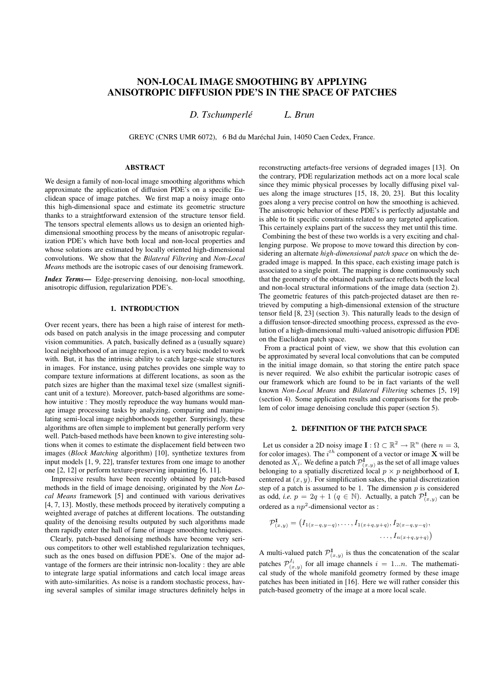# **NON-LOCAL IMAGE SMOOTHING BY APPLYING ANISOTROPIC DIFFUSION PDE'S IN THE SPACE OF PATCHES**

*D. Tschumperle L. Brun ´*

GREYC (CNRS UMR 6072), 6 Bd du Maréchal Juin, 14050 Caen Cedex, France.

## **ABSTRACT**

We design a family of non-local image smoothing algorithms which approximate the application of diffusion PDE's on a specific Euclidean space of image patches. We first map a noisy image onto this high-dimensional space and estimate its geometric structure thanks to a straightforward extension of the structure tensor field. The tensors spectral elements allows us to design an oriented highdimensional smoothing process by the means of anisotropic regularization PDE's which have both local and non-local properties and whose solutions are estimated by locally oriented high-dimensional convolutions. We show that the *Bilateral Filtering* and *Non-Local Means* methods are the isotropic cases of our denoising framework.

*Index Terms*— Edge-preserving denoising, non-local smoothing, anisotropic diffusion, regularization PDE's.

## **1. INTRODUCTION**

Over recent years, there has been a high raise of interest for methods based on patch analysis in the image processing and computer vision communities. A patch, basically defined as a (usually square) local neighborhood of an image region, is a very basic model to work with. But, it has the intrinsic ability to catch large-scale structures in images. For instance, using patches provides one simple way to compare texture informations at different locations, as soon as the patch sizes are higher than the maximal texel size (smallest significant unit of a texture). Moreover, patch-based algorithms are somehow intuitive : They mostly reproduce the way humans would manage image processing tasks by analyzing, comparing and manipulating semi-local image neighborhoods together. Surprisingly, these algorithms are often simple to implement but generally perform very well. Patch-based methods have been known to give interesting solutions when it comes to estimate the displacement field between two images (*Block Matching* algorithm) [10], synthetize textures from input models [1, 9, 22], transfer textures from one image to another one [2, 12] or perform texture-preserving inpainting [6, 11].

Impressive results have been recently obtained by patch-based methods in the field of image denoising, originated by the *Non Local Means* framework [5] and continued with various derivatives [4, 7, 13]. Mostly, these methods proceed by iteratively computing a weighted average of patches at different locations. The outstanding quality of the denoising results outputed by such algorithms made them rapidly enter the hall of fame of image smoothing techniques.

Clearly, patch-based denoising methods have become very serious competitors to other well established regularization techniques, such as the ones based on diffusion PDE's. One of the major advantage of the formers are their intrinsic non-locality : they are able to integrate large spatial informations and catch local image areas with auto-similarities. As noise is a random stochastic process, having several samples of similar image structures definitely helps in

reconstructing artefacts-free versions of degraded images [13]. On the contrary, PDE regularization methods act on a more local scale since they mimic physical processes by locally diffusing pixel values along the image structures [15, 18, 20, 23]. But this locality goes along a very precise control on how the smoothing is achieved. The anisotropic behavior of these PDE's is perfectly adjustable and is able to fit specific constraints related to any targeted application. This certainely explains part of the success they met until this time.

Combining the best of these two worlds is a very exciting and challenging purpose. We propose to move toward this direction by considering an alternate *high-dimensional patch space* on which the degraded image is mapped. In this space, each existing image patch is associated to a single point. The mapping is done continuously such that the geometry of the obtained patch surface reflects both the local and non-local structural informations of the image data (section 2). The geometric features of this patch-projected dataset are then retrieved by computing a high-dimensional extension of the structure tensor field [8, 23] (section 3). This naturally leads to the design of a diffusion tensor-directed smoothing process, expressed as the evolution of a high-dimensional multi-valued anisotropic diffusion PDE on the Euclidean patch space.

From a practical point of view, we show that this evolution can be approximated by several local convolutions that can be computed in the initial image domain, so that storing the entire patch space is never required. We also exhibit the particular isotropic cases of our framework which are found to be in fact variants of the well known *Non-Local Means* and *Bilateral Filtering* schemes [5, 19] (section 4). Some application results and comparisons for the problem of color image denoising conclude this paper (section 5).

#### **2. DEFINITION OF THE PATCH SPACE**

Let us consider a 2D noisy image  $I: \Omega \subset \mathbb{R}^2 \to \mathbb{R}^n$  (here  $n = 3$ , for color images). The  $i^{th}$  component of a vector or image **X** will be denoted as  $X_i$ . We define a patch  $\mathcal{P}^{\mathbf{I}}_{(x,y)}$  as the set of all image values belonging to a spatially discretized local  $p \times p$  neighborhood of **I**, centered at  $(x, y)$ . For simplification sakes, the spatial discretization step of a patch is assumed to be 1. The dimension  $p$  is considered as odd, *i.e.*  $p = 2q + 1$  ( $q \in \mathbb{N}$ ). Actually, a patch  $\mathcal{P}^{\mathbf{I}}_{(x,y)}$  can be ordered as a  $np^2$ -dimensional vector as :

$$
\mathcal{P}^{\mathbf{I}}_{(x,y)} = (I_{1(x-q,y-q)}, \ldots, I_{1(x+q,y+q)}, I_{2(x-q,y-q)},
$$

$$
\ldots, I_{n(x+q,y+q)})
$$

A multi-valued patch  $\mathcal{P}^I_{(x,y)}$  is thus the concatenation of the scalar patches  $\mathcal{P}_{(x,y)}^{I_i}$  for all image channels  $i = 1...n$ . The mathematical study of the whole manifold geometry formed by these image patches has been initiated in [16]. Here we will rather consider this patch-based geometry of the image at a more local scale.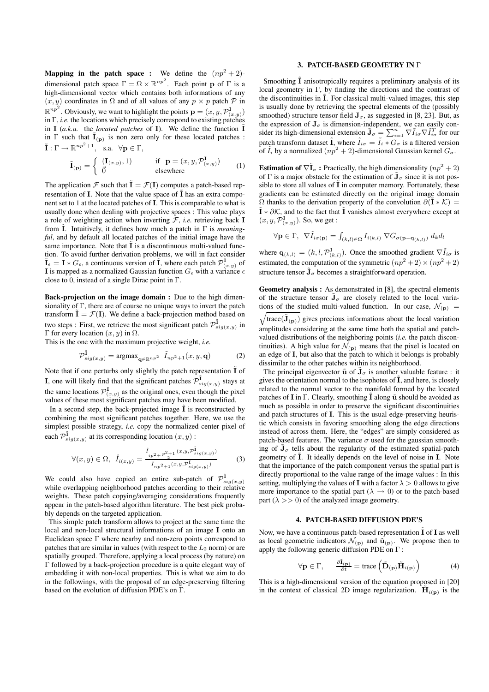**Mapping in the patch space :** We define the  $(np^2 + 2)$ dimensional patch space  $\Gamma = \Omega \times \mathbb{R}^{np^2}$ . Each point p of  $\Gamma$  is a high-dimensional vector which contains both informations of any  $(x, y)$  coordinates in  $\Omega$  and of all values of any  $p \times p$  patch  $\mathcal P$  in  $\mathbb{R}^{np^2}$ . Obviously, we want to highlight the points  $\mathbf{p} = (x, y, \mathcal{P}^I_{(x,y)})$ in Γ, *i.e.* the locations which precisely correspond to existing patches in I (*a.k.a.* the *located patches* of I). We define the function  $\tilde{I}$ in  $\Gamma$  such that  $\tilde{I}_{(p)}$  is non zero only for these located patches :  $\tilde{\mathbf{I}}: \Gamma \to \mathbb{R}^{np^2+1}, \text{ s.a. } \forall \mathbf{p} \in \Gamma,$ 

$$
\tilde{\mathbf{I}}_{(\mathbf{p})} = \begin{cases}\n(\mathbf{I}_{(x,y)}, 1) & \text{if } \mathbf{p} = (x, y, \mathcal{P}^{\mathbf{I}}_{(x,y)}) \\
\vec{0} & \text{elsewhere}\n\end{cases}
$$
\n(1)

The application F such that  $\tilde{\mathbf{I}} = \mathcal{F}(\mathbf{I})$  computes a patch-based representation of I. Note that the value space of  $\tilde{I}$  has an extra component set to 1 at the located patches of I. This is comparable to what is usually done when dealing with projective spaces : This value plays a role of weighting action when inverting  $F$ , *i.e.* retrieving back I from  $\tilde{I}$ . Intuitively, it defines how much a patch in  $\Gamma$  is *meaningful*, and by default all located patches of the initial image have the same importance. Note that  $\tilde{I}$  is a discontinuous multi-valued function. To avoid further derivation problems, we will in fact consider  $\tilde{\mathbf{I}}_{\epsilon} = \mathbf{I} * G_{\epsilon}$ , a continuous version of  $\tilde{\mathbf{I}}$ , where each patch  $\mathcal{P}^{\mathbf{I}}_{(x,y)}$  of I is mapped as a normalized Gaussian function  $G_{\epsilon}$  with a variance  $\epsilon$ close to 0, instead of a single Dirac point in  $\Gamma$ .

**Back-projection on the image domain :** Due to the high dimensionality of  $\Gamma$ , there are of course no unique ways to invert the patch transform  $\tilde{\mathbf{I}} = \mathcal{F}(\mathbf{I})$ . We define a back-projection method based on two steps : First, we retrieve the most significant patch  $\mathcal{P}^{\tilde{\mathbf{I}}}_{sig(x,y)}$  in Γ for every location  $(x, y)$  in  $Ω$ .

This is the one with the maximum projective weight, *i.e.*

$$
\mathcal{P}_{sig(x,y)}^{\tilde{\mathbf{I}}} = \operatorname{argmax}_{\mathbf{q} \in \mathbb{R}^{np^2}} \tilde{I}_{np^2+1}(x, y, \mathbf{q}) \tag{2}
$$

Note that if one perturbs only slightly the patch representation  $\tilde{I}$  of **I**, one will likely find that the significant patches  $\mathcal{P}_{sig(x,y)}^{\tilde{\mathbf{I}}}$  stays at the same locations  $\mathcal{P}^{\mathbf{I}}_{(x,y)}$  as the original ones, even though the pixel values of these most significant patches may have been modified.

In a second step, the back-projected image  $\hat{I}$  is reconstructed by combining the most significant patches together. Here, we use the simplest possible strategy, *i.e.* copy the normalized center pixel of each  $\mathcal{P}_{sig(x,y)}^{\tilde{\mathbf{I}}}$  at its corresponding location  $(x, y)$  :

$$
\forall (x,y) \in \Omega, \ \hat{I}_{i(x,y)} = \frac{\tilde{I}_{ip^2 + \frac{p^2 + 1}{2}}(x, y, P_{sig(x,y)}^{\bar{\mathbf{I}}})}{\tilde{I}_{np^2 + 1}(x, y, P_{sig(x,y)}^{\bar{\mathbf{I}}})}
$$
(3)

We could also have copied an entire sub-patch of  $\mathcal{P}_{sig(x,y)}^{\tilde{\mathbf{I}}}$ while overlapping neighborhood patches according to their relative weights. These patch copying/averaging considerations frequently appear in the patch-based algorithm literature. The best pick probably depends on the targeted application.

This simple patch transform allows to project at the same time the local and non-local structural informations of an image I onto an Euclidean space Γ where nearby and non-zero points correspond to patches that are similar in values (with respect to the  $L_2$  norm) or are spatially grouped. Therefore, applying a local process (by nature) on Γ followed by a back-projection procedure is a quite elegant way of embedding it with non-local properties. This is what we aim to do in the followings, with the proposal of an edge-preserving filtering based on the evolution of diffusion PDE's on Γ.

#### **3. PATCH-BASED GEOMETRY IN** Γ

Smoothing  $\overline{I}$  anisotropically requires a preliminary analysis of its local geometry in Γ, by finding the directions and the contrast of the discontinuities in  $\overline{I}$ . For classical multi-valued images, this step is usually done by retrieving the spectral elements of the (possibly smoothed) structure tensor field  $J_{\sigma}$ , as suggested in [8, 23]. But, as the expression of  $J_{\sigma}$  is dimension-independent, we can easily consider its high-dimensional extension  $\tilde{\mathbf{J}}_{\sigma} = \sum_{i=1}^{n} \nabla \tilde{I}_{i\sigma} \nabla \tilde{I}_{i\sigma}^{T}$  for our patch transform dataset  $\tilde{\mathbf{I}}$ , where  $\tilde{I}_{i\sigma} = \tilde{I}_i * G_{\sigma}$  is a filtered version of  $I_i$  by a normalized  $(np^2 + 2)$ -dimensional Gaussian kernel  $G_{\sigma}$ .

**Estimation of**  $\nabla \tilde{\mathbf{I}}_{\sigma}$ **: Practically, the high dimensionality**  $(np^2 + 2)$ of  $\Gamma$  is a major obstacle for the estimation of  $J_{\sigma}$  since it is not possible to store all values of  $\tilde{I}$  in computer memory. Fortunately, these gradients can be estimated directly on the original image domain  $\Omega$  thanks to the derivation property of the convolution  $\partial(\mathbf{\tilde{I}}*\mathcal{K}) =$  $\tilde{\mathbf{I}} * \partial \mathcal{K}$ , and to the fact that  $\tilde{\mathbf{I}}$  vanishes almost everywhere except at  $(x, y, \mathcal{P}_{(x,y)}^{\mathbf{I}})$ . So, we get :

$$
\forall \mathbf{p} \in \Gamma, \ \nabla \tilde{I}_{i\sigma(\mathbf{p})} = \int_{(k,l) \in \Omega} I_{i(k,l)} \ \nabla G_{\sigma(\mathbf{p} - \mathbf{q}_{(k,l)})} \ d_k d_l
$$

where  $\mathbf{q}_{(k,l)} = (k, l, \mathcal{P}_{(k,l)}^{\mathbf{I}})$ . Once the smoothed gradient  $\nabla \tilde{I}_{i\sigma}$  is estimated, the computation of the symmetric  $(np^2 + 2) \times (np^2 + 2)$ structure tensor  $\tilde{\mathbf{J}}_{\sigma}$  becomes a straightforward operation.

**Geometry analysis :** As demonstrated in [8], the spectral elements of the structure tensor  $\tilde{\mathbf{J}}_{\sigma}$  are closely related to the local variations of the studied multi-valued function. In our case,  $\mathcal{N}_{(p)} =$  $\sqrt{\text{trace}(\tilde{\mathbf{J}}_{(\mathbf{p})})}$  gives precious informations about the local variation amplitudes considering at the same time both the spatial and patchvalued distributions of the neighboring points (*i.e.* the patch discontinuities). A high value for  $\mathcal{N}_{(p)}$  means that the pixel is located on an edge of I, but also that the patch to which it belongs is probably dissimilar to the other patches within its neighborhood.

The principal eigenvector  $\tilde{u}$  of  $\tilde{J}_{\sigma}$  is another valuable feature : it gives the orientation normal to the isophotes of  $\tilde{I}$ , and here, is closely related to the normal vector to the manifold formed by the located patches of **I** in Γ. Clearly, smoothing  $\tilde{\mathbf{I}}$  along  $\tilde{\mathbf{u}}$  should be avoided as much as possible in order to preserve the significant discontinuities and patch structures of I. This is the usual edge-preserving heuristic which consists in favoring smoothing along the edge directions instead of across them. Here, the "edges" are simply considered as patch-based features. The variance  $\sigma$  used for the gaussian smoothing of  $J_{\sigma}$  tells about the regularity of the estimated spatial-patch geometry of  $\tilde{I}$ . It ideally depends on the level of noise in  $I$ . Note that the importance of the patch component versus the spatial part is directly proportional to the value range of the image values : In this setting, multiplying the values of **I** with a factor  $\lambda > 0$  allows to give more importance to the spatial part ( $\lambda \rightarrow 0$ ) or to the patch-based part  $(\lambda \gg 0)$  of the analyzed image geometry.

#### **4. PATCH-BASED DIFFUSION PDE'S**

Now, we have a continuous patch-based representation  $\overline{I}$  of  $I$  as well as local geometric indicators  $\mathcal{N}_{(\mathbf{p})}$  and  $\tilde{\mathbf{u}}_{(\mathbf{p})}$ . We propose then to apply the following generic diffusion PDE on Γ :

$$
\forall \mathbf{p} \in \Gamma, \qquad \frac{\partial \tilde{\mathbf{I}}_{(\mathbf{p})}}{\partial t} = \text{trace}\left(\tilde{\mathbf{D}}_{(\mathbf{p})} \tilde{\mathbf{H}}_{i(\mathbf{p})}\right) \tag{4}
$$

This is a high-dimensional version of the equation proposed in [20] in the context of classical 2D image regularization.  $\tilde{\mathbf{H}}_{i(\mathbf{p})}$  is the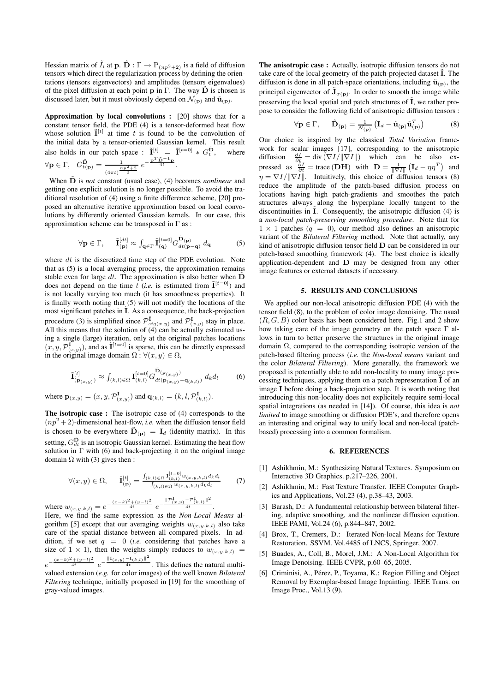Hessian matrix of  $\tilde{I}_i$  at  $\mathbf{p}$ .  $\tilde{\mathbf{D}}$  :  $\Gamma \rightarrow P_{(np^2+2)}$  is a field of diffusion tensors which direct the regularization process by defining the orientations (tensors eigenvectors) and amplitudes (tensors eigenvalues) of the pixel diffusion at each point p in Γ. The way  $\tilde{D}$  is chosen is discussed later, but it must obviously depend on  $\mathcal{N}_{(\mathbf{p})}$  and  $\tilde{\mathbf{u}}_{(\mathbf{p})}$ .

**Approximation by local convolutions :** [20] shows that for a constant tensor field, the PDE (4) is a tensor-deformed heat flow whose solution  $\tilde{\mathbf{I}}^{[t]}$  at time t is found to be the convolution of the initial data by a tensor-oriented Gaussian kernel. This result also holds in our patch space :  $\tilde{\mathbf{I}}^{[t]} = \tilde{\mathbf{I}}^{[t=0]} * G_t^{\tilde{\mathbf{D}}}$ where  $\forall \mathbf{p} \in \Gamma$ ,  $G_{t(\mathbf{p})}^{\tilde{\mathbf{D}}} = \frac{1}{n}$  $\frac{1}{(4\pi t)^{\frac{np^2+2}{2}}} e^{-\frac{\mathbf{p}^T \tilde{\mathbf{D}}^{-1} \mathbf{p}}{4t}}.$ 

When **D** is *not* constant (usual case), (4) becomes *nonlinear* and getting one explicit solution is no longer possible. To avoid the traditional resolution of (4) using a finite difference scheme, [20] proposed an alternative iterative approximation based on local convolutions by differently oriented Gaussian kernels. In our case, this approximation scheme can be transposed in  $\Gamma$  as :

$$
\forall \mathbf{p} \in \Gamma, \qquad \tilde{\mathbf{I}}_{(\mathbf{p})}^{[dt]} \approx \int_{\mathbf{q} \in \Gamma} \tilde{\mathbf{I}}_{(\mathbf{q})}^{[t=0]} G_{dt(\mathbf{p}-\mathbf{q})}^{\tilde{\mathbf{D}}_{(\mathbf{p})}} d_{\mathbf{q}} \tag{5}
$$

where  $dt$  is the discretized time step of the PDE evolution. Note that as (5) is a local averaging process, the approximation remains stable even for large dt. The approximation is also better when  $\tilde{D}$ does not depend on the time  $\hat{t}$  (*i.e.* is estimated from  $\tilde{\mathbf{I}}^{[t=0]}$ ) and is not locally varying too much (it has smoothness properties). It is finally worth noting that (5) will not modify the locations of the most significant patches in  $\tilde{I}$ . As a consequence, the back-projection procedure (3) is simplified since  $\mathcal{P}_{sig(x,y)}^{\tilde{\mathbf{I}}}$  and  $\mathcal{P}_{(x,y)}^{\mathbf{I}}$  stay in place. All this means that the solution of  $\ddot{A}$  can be actually estimated using a single (large) iteration, only at the original patches locations  $(x, y, \mathcal{P}_{(x,y)}^{\mathbf{I}})$ , and as  $\tilde{\mathbf{I}}^{[t=0]}$  is sparse, this can be directly expressed in the original image domain  $\Omega$  :  $\forall (x, y) \in \Omega$ ,

$$
\tilde{\mathbf{I}}_{(\mathbf{p}_{(x,y)})}^{[t]} \approx \int_{(k,l)\in\Omega} \mathbf{I}_{(k,l)}^{[t=0]} G_{dt(\mathbf{p}_{(x,y)})}^{\tilde{\mathbf{D}}_{(\mathbf{p}_{(x,y)})}} \mathbf{q}_{k} d_{l} \tag{6}
$$

where  ${\bf p}_{(x,y)} = (x, y, {\cal P}^{\bf I}_{(x,y)})$  and  ${\bf q}_{(k,l)} = (k, l, {\cal P}^{\bf I}_{(k,l)}).$ 

**The isotropic case :** The isotropic case of (4) corresponds to the  $(np^2 + 2)$ -dimensional heat-flow, *i.e.* when the diffusion tensor field is chosen to be everywhere  $\tilde{\mathbf{D}}_{(\mathbf{p})} = \mathbf{I}_d$  (identity matrix). In this setting,  $G_{dt}^{\tilde{\mathbf{D}}}$  is an isotropic Gaussian kernel. Estimating the heat flow solution in  $\Gamma$  with (6) and back-projecting it on the original image domain  $\Omega$  with (3) gives then :

$$
\forall (x, y) \in \Omega, \qquad \hat{\mathbf{I}}_{(\mathbf{p})}^{[t]} = \frac{\int_{(k,l) \in \Omega} \mathbf{I}_{(k,l)}^{[t=0]} w(x, y, k, l)}{\int_{(k,l) \in \Omega} w(x, y, k, l)} d_k d_l} \tag{7}
$$

$$
0 = e^{-\frac{(x-k)^2 + (y-l)^2}{4t}} e^{-\frac{\|\mathcal{P}^{\mathbf{I}}(x,y) - \mathcal{P}^{\mathbf{I}}(k,l)\|^2}{4t}}.
$$

where  $w_{(x,y,k,l)}$ Here, we find the same expression as the *Non-Local Means* algorithm [5] except that our averaging weights  $w_{(x,y,k,l)}$  also take care of the spatial distance between all compared pixels. In addition, if we set  $q = 0$  (*i.e.* considering that patches have a size of  $1 \times 1$ ), then the weights simply reduces to  $w_{(x,y,k,l)}$  =  $e^{-\frac{(x-k)^2+(y-l)^2}{4t}}e^{-\frac{\|I(x,y)-I(x,l)\|^2}{4t}}$ . This defines the natural multivalued extension (*e.g.* for color images) of the well known *Bilateral Filtering* technique, initially proposed in [19] for the smoothing of gray-valued images.

**The anisotropic case :** Actually, isotropic diffusion tensors do not take care of the local geometry of the patch-projected dataset  $\tilde{I}$ . The diffusion is done in all patch-space orientations, including  $\tilde{\mathbf{u}}_{(\mathbf{p})}$ , the principal eigenvector of  $\tilde{\mathbf{J}}_{\sigma(\mathbf{p})}$ . In order to smooth the image while preserving the local spatial and patch structures of  $\tilde{I}$ , we rather propose to consider the following field of anisotropic diffusion tensors :

$$
\forall \mathbf{p} \in \Gamma, \quad \tilde{\mathbf{D}}_{(\mathbf{p})} = \frac{1}{\mathcal{N}_{(\mathbf{p})}} \left( \mathbf{I}_d - \tilde{\mathbf{u}}_{(\mathbf{p})} \tilde{\mathbf{u}}_{(\mathbf{p})}^T \right) \tag{8}
$$

Our choice is inspired by the classical *Total Variation* framework for scalar images [17], corresponding to the anisotropic diffusion  $\frac{\partial I}{\partial t} = \text{div} (\nabla I / ||\nabla I||)$  which can be also expressed as  $\frac{\partial I}{\partial t}$  = trace (DH) with  $\mathbf{D} = \frac{1}{\|\nabla I\|} (\mathbf{I}_d - \eta \eta^T)$  and  $\eta = \nabla I / ||\nabla I||$ . Intuitively, this choice of diffusion tensors (8) reduce the amplitude of the patch-based diffusion process on locations having high patch-gradients and smoothes the patch structures always along the hyperplane locally tangent to the discontinuities in  $I$ . Consequently, the anisotropic diffusion  $(4)$  is a *non-local patch-preserving smoothing procedure*. Note that for  $1 \times 1$  patches  $(q = 0)$ , our method also defines an anisotropic variant of the *Bilateral Filtering* method. Note that actually, any kind of anisotropic diffusion tensor field  $D$  can be considered in our patch-based smoothing framework (4). The best choice is ideally application-dependent and D may be designed from any other image features or external datasets if necessary.

## **5. RESULTS AND CONCLUSIONS**

We applied our non-local anisotropic diffusion PDE (4) with the tensor field (8), to the problem of color image denoising. The usual  $(R, G, B)$  color basis has been considered here. Fig.1 and 2 show how taking care of the image geometry on the patch space  $\Gamma$  allows in turn to better preserve the structures in the original image domain Ω, compared to the corresponding isotropic version of the patch-based filtering process (*i.e.* the *Non-local means* variant and the color *Bilateral Filtering*). More generally, the framework we proposed is potentially able to add non-locality to many image processing techniques, applying them on a patch representation  $\tilde{\mathbf{I}}$  of an image I before doing a back-projection step. It is worth noting that introducing this non-locality does not explicitely require semi-local spatial integrations (as needed in [14]). Of course, this idea is *not limited* to image smoothing or diffusion PDE's, and therefore opens an interesting and original way to unify local and non-local (patchbased) processing into a common formalism.

#### **6. REFERENCES**

- [1] Ashikhmin, M.: Synthesizing Natural Textures. Symposium on Interactive 3D Graphics. p.217–226, 2001.
- [2] Ashikhmin, M.: Fast Texture Transfer. IEEE Computer Graphics and Applications, Vol.23 (4), p.38–43, 2003.
- [3] Barash, D.: A fundamental relationship between bilateral filtering, adaptive smoothing, and the nonlinear diffusion equation. IEEE PAMI, Vol.24 (6), p.844–847, 2002.
- [4] Brox, T., Cremers, D.: Iterated Non-local Means for Texture Restoration. SSVM. Vol.4485 of LNCS, Springer, 2007.
- [5] Buades, A., Coll, B., Morel, J.M.: A Non-Local Algorithm for Image Denoising. IEEE CVPR, p.60–65, 2005.
- [6] Criminisi, A., Pérez, P., Toyama, K.: Region Filling and Object Removal by Exemplar-based Image Inpainting. IEEE Trans. on Image Proc., Vol.13 (9).